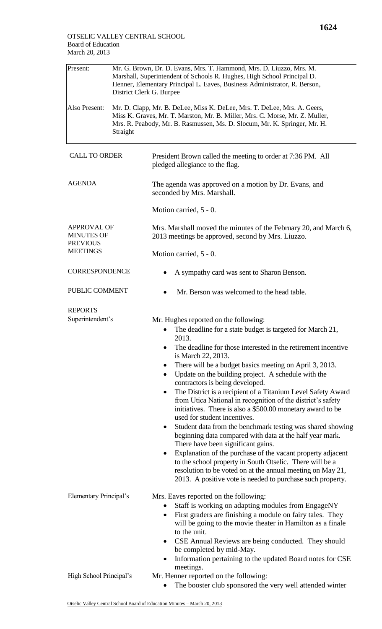| Present:                                                   | Mr. G. Brown, Dr. D. Evans, Mrs. T. Hammond, Mrs. D. Liuzzo, Mrs. M.<br>Marshall, Superintendent of Schools R. Hughes, High School Principal D.<br>Henner, Elementary Principal L. Eaves, Business Administrator, R. Berson,<br>District Clerk G. Burpee |                                                                                                                                                                                                                                                                                                                                                                                                                                                                                                                                                                                                                                                                                                                                                                                                                                                                                                                                                                                                                                            |  |  |
|------------------------------------------------------------|----------------------------------------------------------------------------------------------------------------------------------------------------------------------------------------------------------------------------------------------------------|--------------------------------------------------------------------------------------------------------------------------------------------------------------------------------------------------------------------------------------------------------------------------------------------------------------------------------------------------------------------------------------------------------------------------------------------------------------------------------------------------------------------------------------------------------------------------------------------------------------------------------------------------------------------------------------------------------------------------------------------------------------------------------------------------------------------------------------------------------------------------------------------------------------------------------------------------------------------------------------------------------------------------------------------|--|--|
| Also Present:                                              | Mr. D. Clapp, Mr. B. DeLee, Miss K. DeLee, Mrs. T. DeLee, Mrs. A. Geers,<br>Miss K. Graves, Mr. T. Marston, Mr. B. Miller, Mrs. C. Morse, Mr. Z. Muller,<br>Mrs. R. Peabody, Mr. B. Rasmussen, Ms. D. Slocum, Mr. K. Springer, Mr. H.<br>Straight        |                                                                                                                                                                                                                                                                                                                                                                                                                                                                                                                                                                                                                                                                                                                                                                                                                                                                                                                                                                                                                                            |  |  |
| <b>CALL TO ORDER</b>                                       |                                                                                                                                                                                                                                                          | President Brown called the meeting to order at 7:36 PM. All<br>pledged allegiance to the flag.                                                                                                                                                                                                                                                                                                                                                                                                                                                                                                                                                                                                                                                                                                                                                                                                                                                                                                                                             |  |  |
| <b>AGENDA</b>                                              |                                                                                                                                                                                                                                                          | The agenda was approved on a motion by Dr. Evans, and<br>seconded by Mrs. Marshall.                                                                                                                                                                                                                                                                                                                                                                                                                                                                                                                                                                                                                                                                                                                                                                                                                                                                                                                                                        |  |  |
|                                                            |                                                                                                                                                                                                                                                          | Motion carried, 5 - 0.                                                                                                                                                                                                                                                                                                                                                                                                                                                                                                                                                                                                                                                                                                                                                                                                                                                                                                                                                                                                                     |  |  |
| <b>APPROVAL OF</b><br><b>MINUTES OF</b><br><b>PREVIOUS</b> |                                                                                                                                                                                                                                                          | Mrs. Marshall moved the minutes of the February 20, and March 6,<br>2013 meetings be approved, second by Mrs. Liuzzo.                                                                                                                                                                                                                                                                                                                                                                                                                                                                                                                                                                                                                                                                                                                                                                                                                                                                                                                      |  |  |
| <b>MEETINGS</b>                                            |                                                                                                                                                                                                                                                          | Motion carried, 5 - 0.                                                                                                                                                                                                                                                                                                                                                                                                                                                                                                                                                                                                                                                                                                                                                                                                                                                                                                                                                                                                                     |  |  |
| <b>CORRESPONDENCE</b>                                      |                                                                                                                                                                                                                                                          | A sympathy card was sent to Sharon Benson.                                                                                                                                                                                                                                                                                                                                                                                                                                                                                                                                                                                                                                                                                                                                                                                                                                                                                                                                                                                                 |  |  |
| PUBLIC COMMENT                                             |                                                                                                                                                                                                                                                          | Mr. Berson was welcomed to the head table.                                                                                                                                                                                                                                                                                                                                                                                                                                                                                                                                                                                                                                                                                                                                                                                                                                                                                                                                                                                                 |  |  |
| <b>REPORTS</b><br>Superintendent's                         |                                                                                                                                                                                                                                                          | Mr. Hughes reported on the following:<br>The deadline for a state budget is targeted for March 21,<br>2013.<br>The deadline for those interested in the retirement incentive<br>is March 22, 2013.<br>There will be a budget basics meeting on April 3, 2013.<br>Update on the building project. A schedule with the<br>٠<br>contractors is being developed.<br>The District is a recipient of a Titanium Level Safety Award<br>$\bullet$<br>from Utica National in recognition of the district's safety<br>initiatives. There is also a \$500.00 monetary award to be<br>used for student incentives.<br>Student data from the benchmark testing was shared showing<br>beginning data compared with data at the half year mark.<br>There have been significant gains.<br>Explanation of the purchase of the vacant property adjacent<br>$\bullet$<br>to the school property in South Otselic. There will be a<br>resolution to be voted on at the annual meeting on May 21,<br>2013. A positive vote is needed to purchase such property. |  |  |
| <b>Elementary Principal's</b>                              |                                                                                                                                                                                                                                                          | Mrs. Eaves reported on the following:<br>Staff is working on adapting modules from EngageNY<br>First graders are finishing a module on fairy tales. They<br>$\bullet$<br>will be going to the movie theater in Hamilton as a finale<br>to the unit.<br>CSE Annual Reviews are being conducted. They should<br>$\bullet$<br>be completed by mid-May.<br>Information pertaining to the updated Board notes for CSE                                                                                                                                                                                                                                                                                                                                                                                                                                                                                                                                                                                                                           |  |  |
| High School Principal's                                    |                                                                                                                                                                                                                                                          | meetings.<br>Mr. Henner reported on the following:<br>The booster club sponsored the very well attended winter                                                                                                                                                                                                                                                                                                                                                                                                                                                                                                                                                                                                                                                                                                                                                                                                                                                                                                                             |  |  |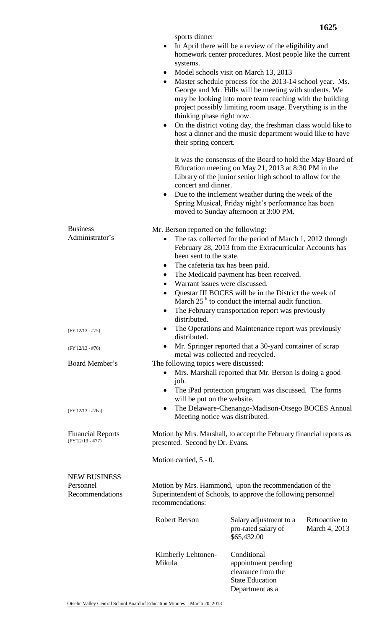|                                                     | sports dinner<br>systems.<br>$\bullet$<br>$\bullet$<br>thinking phase right now.<br>$\bullet$<br>their spring concert.<br>concert and dinner.     | In April there will be a review of the eligibility and<br>homework center procedures. Most people like the current<br>Model schools visit on March 13, 2013<br>Master schedule process for the 2013-14 school year. Ms.<br>George and Mr. Hills will be meeting with students. We<br>may be looking into more team teaching with the building<br>project possibly limiting room usage. Everything is in the<br>On the district voting day, the freshman class would like to<br>host a dinner and the music department would like to have<br>It was the consensus of the Board to hold the May Board of<br>Education meeting on May 21, 2013 at 8:30 PM in the<br>Library of the junior senior high school to allow for the |  |
|-----------------------------------------------------|---------------------------------------------------------------------------------------------------------------------------------------------------|----------------------------------------------------------------------------------------------------------------------------------------------------------------------------------------------------------------------------------------------------------------------------------------------------------------------------------------------------------------------------------------------------------------------------------------------------------------------------------------------------------------------------------------------------------------------------------------------------------------------------------------------------------------------------------------------------------------------------|--|
|                                                     | $\bullet$                                                                                                                                         | Due to the inclement weather during the week of the<br>Spring Musical, Friday night's performance has been<br>moved to Sunday afternoon at 3:00 PM.                                                                                                                                                                                                                                                                                                                                                                                                                                                                                                                                                                        |  |
| <b>Business</b><br>Administrator's                  | Mr. Berson reported on the following:<br>٠<br>been sent to the state.<br>$\bullet$<br>$\bullet$<br>Warrant issues were discussed.<br>distributed. | The tax collected for the period of March 1, 2012 through<br>February 28, 2013 from the Extracurricular Accounts has<br>The cafeteria tax has been paid.<br>The Medicaid payment has been received.<br>Questar III BOCES will be in the District the week of<br>March $25th$ to conduct the internal audit function.<br>The February transportation report was previously                                                                                                                                                                                                                                                                                                                                                  |  |
| $(FY'12/13 - #75)$                                  | distributed.                                                                                                                                      | The Operations and Maintenance report was previously                                                                                                                                                                                                                                                                                                                                                                                                                                                                                                                                                                                                                                                                       |  |
| $(FY'12/13 - #76)$                                  | $\bullet$                                                                                                                                         | Mr. Springer reported that a 30-yard container of scrap<br>metal was collected and recycled.                                                                                                                                                                                                                                                                                                                                                                                                                                                                                                                                                                                                                               |  |
| Board Member's                                      | The following topics were discussed:<br>$\bullet$<br>job.<br>٠<br>will be put on the website.                                                     | Mrs. Marshall reported that Mr. Berson is doing a good<br>The iPad protection program was discussed. The forms                                                                                                                                                                                                                                                                                                                                                                                                                                                                                                                                                                                                             |  |
| $(FY'12/13 - #76a)$                                 |                                                                                                                                                   | The Delaware-Chenango-Madison-Otsego BOCES Annual<br>Meeting notice was distributed.                                                                                                                                                                                                                                                                                                                                                                                                                                                                                                                                                                                                                                       |  |
| <b>Financial Reports</b><br>$(FY'12/13 - #77)$      | Motion by Mrs. Marshall, to accept the February financial reports as<br>presented. Second by Dr. Evans.                                           |                                                                                                                                                                                                                                                                                                                                                                                                                                                                                                                                                                                                                                                                                                                            |  |
|                                                     | Motion carried, 5 - 0.                                                                                                                            |                                                                                                                                                                                                                                                                                                                                                                                                                                                                                                                                                                                                                                                                                                                            |  |
| <b>NEW BUSINESS</b><br>Personnel<br>Recommendations | Motion by Mrs. Hammond, upon the recommendation of the<br>Superintendent of Schools, to approve the following personnel<br>recommendations:       |                                                                                                                                                                                                                                                                                                                                                                                                                                                                                                                                                                                                                                                                                                                            |  |
|                                                     | <b>Robert Berson</b>                                                                                                                              | Salary adjustment to a<br>Retroactive to<br>pro-rated salary of<br>March 4, 2013<br>\$65,432.00                                                                                                                                                                                                                                                                                                                                                                                                                                                                                                                                                                                                                            |  |
|                                                     | Kimberly Lehtonen-<br>Mikula                                                                                                                      | Conditional<br>appointment pending<br>clearance from the<br><b>State Education</b><br>Department as a                                                                                                                                                                                                                                                                                                                                                                                                                                                                                                                                                                                                                      |  |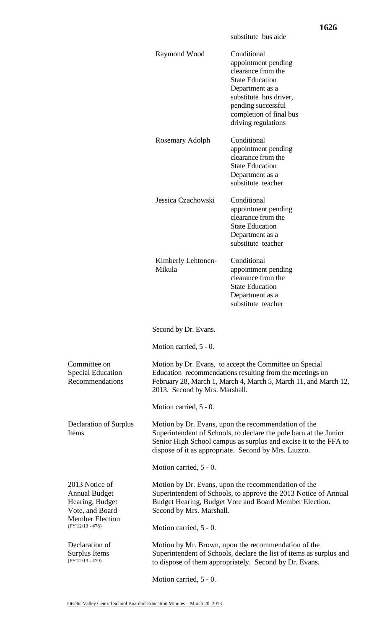|                                                                                                                              |                                                                                                                                                                                                                                                      | substitute bus aide                                                                                                                                                                                     |  |  |
|------------------------------------------------------------------------------------------------------------------------------|------------------------------------------------------------------------------------------------------------------------------------------------------------------------------------------------------------------------------------------------------|---------------------------------------------------------------------------------------------------------------------------------------------------------------------------------------------------------|--|--|
|                                                                                                                              | Raymond Wood                                                                                                                                                                                                                                         | Conditional<br>appointment pending<br>clearance from the<br><b>State Education</b><br>Department as a<br>substitute bus driver,<br>pending successful<br>completion of final bus<br>driving regulations |  |  |
|                                                                                                                              | Rosemary Adolph                                                                                                                                                                                                                                      | Conditional<br>appointment pending<br>clearance from the<br><b>State Education</b><br>Department as a<br>substitute teacher                                                                             |  |  |
|                                                                                                                              | Jessica Czachowski                                                                                                                                                                                                                                   | Conditional<br>appointment pending<br>clearance from the<br><b>State Education</b><br>Department as a<br>substitute teacher                                                                             |  |  |
|                                                                                                                              | Kimberly Lehtonen-<br>Mikula                                                                                                                                                                                                                         | Conditional<br>appointment pending<br>clearance from the<br><b>State Education</b><br>Department as a<br>substitute teacher                                                                             |  |  |
|                                                                                                                              | Second by Dr. Evans.                                                                                                                                                                                                                                 |                                                                                                                                                                                                         |  |  |
|                                                                                                                              | Motion carried, 5 - 0.                                                                                                                                                                                                                               |                                                                                                                                                                                                         |  |  |
| Committee on<br><b>Special Education</b><br>Recommendations                                                                  | 2013. Second by Mrs. Marshall.                                                                                                                                                                                                                       | Motion by Dr. Evans, to accept the Committee on Special<br>Education recommendations resulting from the meetings on<br>February 28, March 1, March 4, March 5, March 11, and March 12,                  |  |  |
|                                                                                                                              | Motion carried, 5 - 0.                                                                                                                                                                                                                               |                                                                                                                                                                                                         |  |  |
| <b>Declaration of Surplus</b><br>Items                                                                                       | Motion by Dr. Evans, upon the recommendation of the<br>Superintendent of Schools, to declare the pole barn at the Junior<br>Senior High School campus as surplus and excise it to the FFA to<br>dispose of it as appropriate. Second by Mrs. Liuzzo. |                                                                                                                                                                                                         |  |  |
|                                                                                                                              | Motion carried, 5 - 0.                                                                                                                                                                                                                               |                                                                                                                                                                                                         |  |  |
| 2013 Notice of<br><b>Annual Budget</b><br>Hearing, Budget<br>Vote, and Board<br><b>Member Election</b><br>$(FY'12/13 - #78)$ | Motion by Dr. Evans, upon the recommendation of the<br>Superintendent of Schools, to approve the 2013 Notice of Annual<br>Budget Hearing, Budget Vote and Board Member Election.<br>Second by Mrs. Marshall.                                         |                                                                                                                                                                                                         |  |  |
| Declaration of                                                                                                               | Motion carried, 5 - 0.                                                                                                                                                                                                                               |                                                                                                                                                                                                         |  |  |
| Surplus Items<br>$(FY'12/13 - #79)$                                                                                          | Motion by Mr. Brown, upon the recommendation of the<br>Superintendent of Schools, declare the list of items as surplus and<br>to dispose of them appropriately. Second by Dr. Evans.                                                                 |                                                                                                                                                                                                         |  |  |

Motion carried, 5 - 0.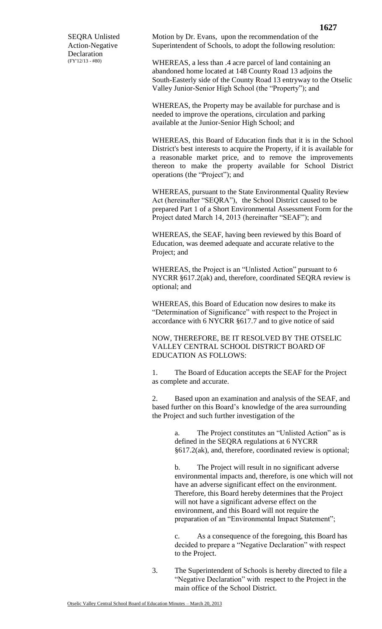SEQRA Unlisted Action-Negative Declaration (FY'12/13 - #80)

Motion by Dr. Evans, upon the recommendation of the Superintendent of Schools, to adopt the following resolution:

WHEREAS, a less than .4 acre parcel of land containing an abandoned home located at 148 County Road 13 adjoins the South-Easterly side of the County Road 13 entryway to the Otselic Valley Junior-Senior High School (the "Property"); and

WHEREAS, the Property may be available for purchase and is needed to improve the operations, circulation and parking available at the Junior-Senior High School; and

WHEREAS, this Board of Education finds that it is in the School District's best interests to acquire the Property, if it is available for a reasonable market price, and to remove the improvements thereon to make the property available for School District operations (the "Project"); and

WHEREAS, pursuant to the State Environmental Quality Review Act (hereinafter "SEQRA"), the School District caused to be prepared Part 1 of a Short Environmental Assessment Form for the Project dated March 14, 2013 (hereinafter "SEAF"); and

WHEREAS, the SEAF, having been reviewed by this Board of Education, was deemed adequate and accurate relative to the Project; and

WHEREAS, the Project is an "Unlisted Action" pursuant to 6 NYCRR §617.2(ak) and, therefore, coordinated SEQRA review is optional; and

WHEREAS, this Board of Education now desires to make its "Determination of Significance" with respect to the Project in accordance with 6 NYCRR §617.7 and to give notice of said

NOW, THEREFORE, BE IT RESOLVED BY THE OTSELIC VALLEY CENTRAL SCHOOL DISTRICT BOARD OF EDUCATION AS FOLLOWS:

1. The Board of Education accepts the SEAF for the Project as complete and accurate.

2. Based upon an examination and analysis of the SEAF, and based further on this Board's knowledge of the area surrounding the Project and such further investigation of the

> a. The Project constitutes an "Unlisted Action" as is defined in the SEQRA regulations at 6 NYCRR §617.2(ak), and, therefore, coordinated review is optional;

b. The Project will result in no significant adverse environmental impacts and, therefore, is one which will not have an adverse significant effect on the environment. Therefore, this Board hereby determines that the Project will not have a significant adverse effect on the environment, and this Board will not require the preparation of an "Environmental Impact Statement";

c. As a consequence of the foregoing, this Board has decided to prepare a "Negative Declaration" with respect to the Project.

3. The Superintendent of Schools is hereby directed to file a "Negative Declaration" with respect to the Project in the main office of the School District.